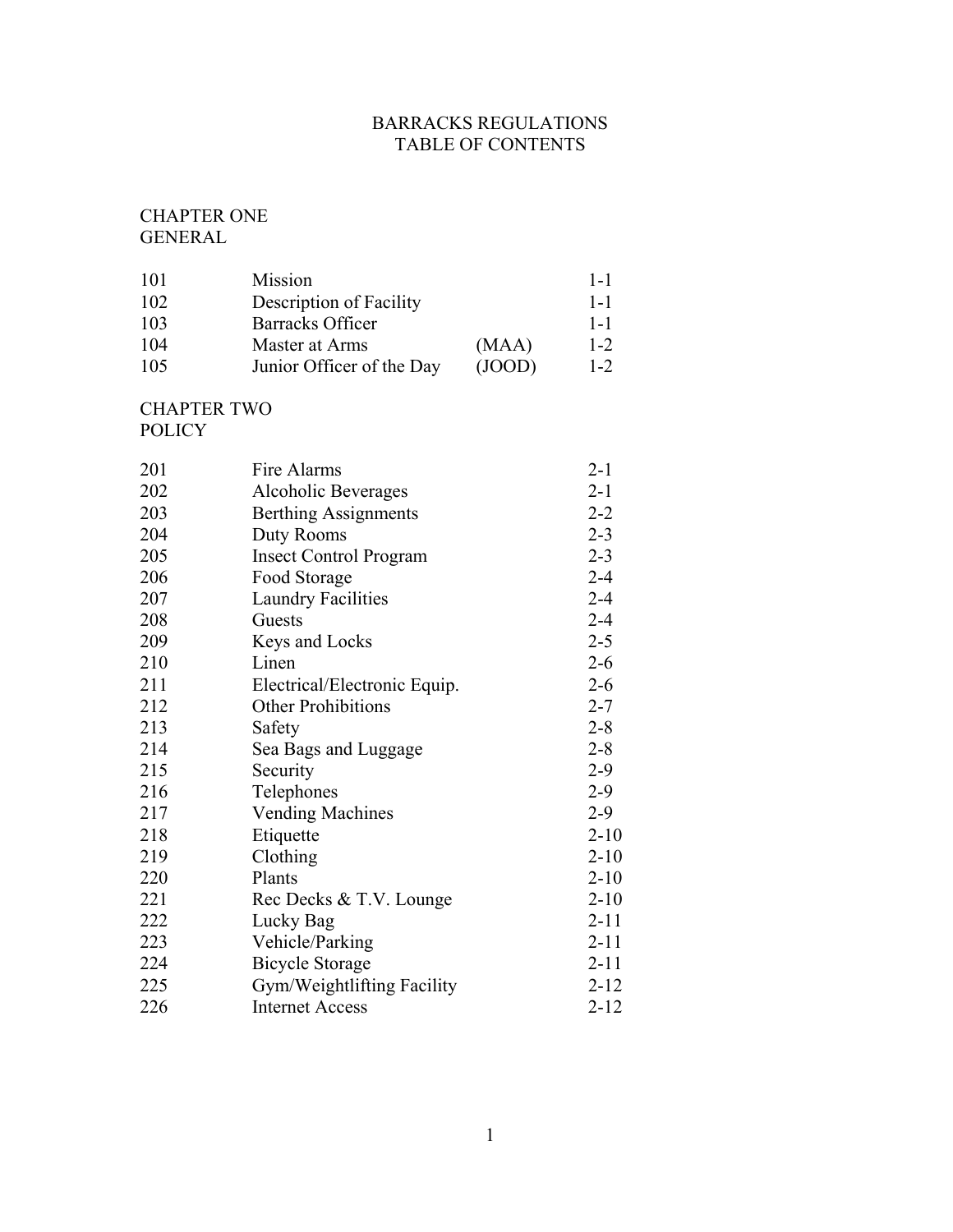# BARRACKS REGULATIONS TABLE OF CONTENTS

## CHAPTER ONE GENERAL

| 101 | Mission                   |        | $1-1$   |
|-----|---------------------------|--------|---------|
| 102 | Description of Facility   |        | $1 - 1$ |
| 103 | <b>Barracks Officer</b>   |        | $1 - 1$ |
| 104 | Master at Arms            | (MAA)  | $1 - 2$ |
| 105 | Junior Officer of the Day | (JOOD) | $1 - 2$ |

CHAPTER TWO POLICY

| 201 | Fire Alarms                   | $2 - 1$  |
|-----|-------------------------------|----------|
| 202 | Alcoholic Beverages           | $2 - 1$  |
| 203 | <b>Berthing Assignments</b>   | $2 - 2$  |
| 204 | Duty Rooms                    | $2 - 3$  |
| 205 | <b>Insect Control Program</b> | $2 - 3$  |
| 206 | Food Storage                  | $2 - 4$  |
| 207 | <b>Laundry Facilities</b>     | $2 - 4$  |
| 208 | Guests                        | $2 - 4$  |
| 209 | Keys and Locks                | $2 - 5$  |
| 210 | Linen                         | $2 - 6$  |
| 211 | Electrical/Electronic Equip.  | $2 - 6$  |
| 212 | <b>Other Prohibitions</b>     | $2 - 7$  |
| 213 | Safety                        | $2 - 8$  |
| 214 | Sea Bags and Luggage          | $2 - 8$  |
| 215 | Security                      | $2-9$    |
| 216 | Telephones                    | $2-9$    |
| 217 | <b>Vending Machines</b>       | $2-9$    |
| 218 | Etiquette                     | $2 - 10$ |
| 219 | Clothing                      | $2 - 10$ |
| 220 | Plants                        | $2 - 10$ |
| 221 | Rec Decks & T.V. Lounge       | $2 - 10$ |
| 222 | Lucky Bag                     | $2 - 11$ |
| 223 | Vehicle/Parking               | $2 - 11$ |
| 224 | <b>Bicycle Storage</b>        | $2 - 11$ |
| 225 | Gym/Weightlifting Facility    | $2 - 12$ |
| 226 | <b>Internet Access</b>        | $2 - 12$ |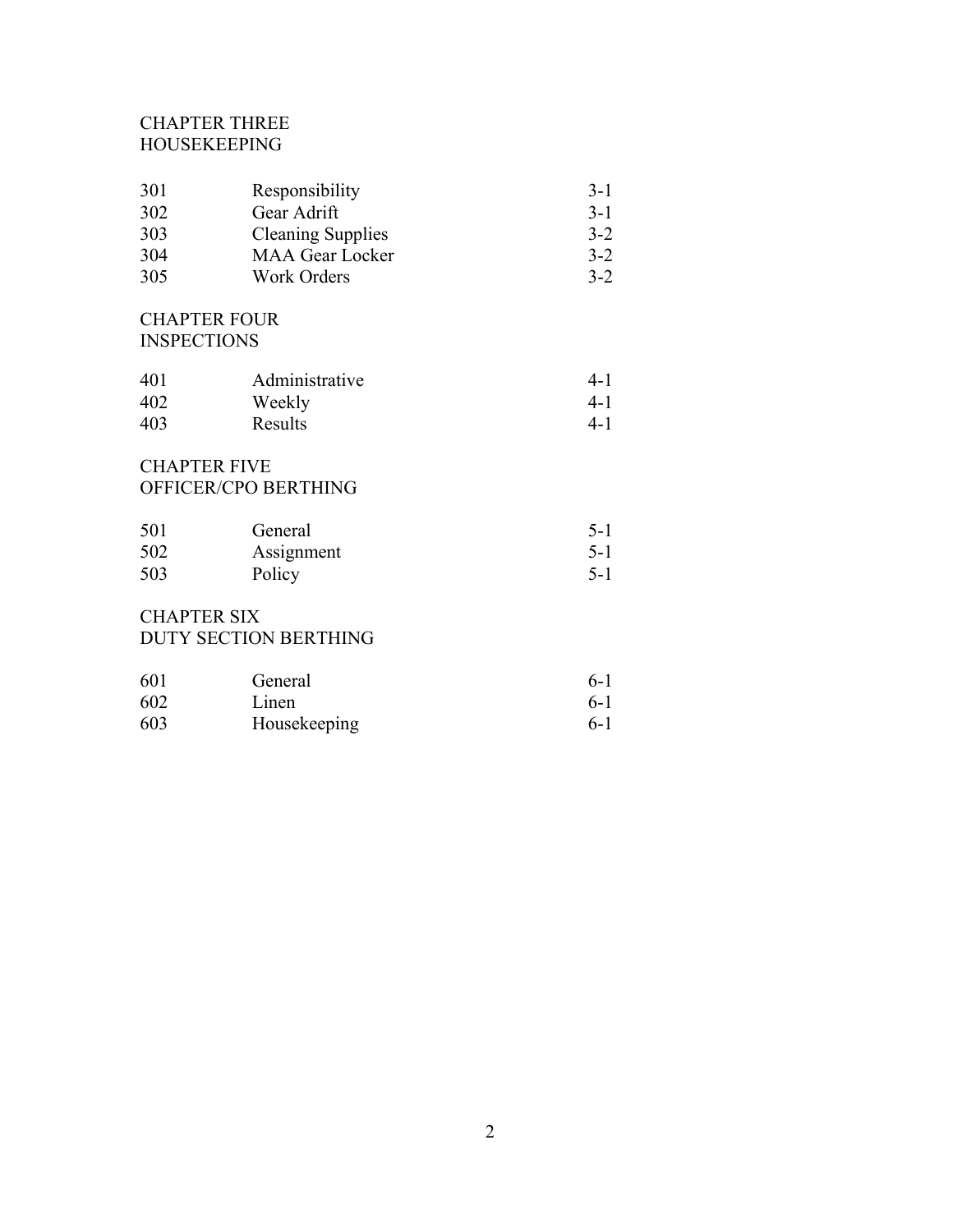# CHAPTER THREE HOUSEKEEPING

| 301 | Responsibility           | $3-1$   |
|-----|--------------------------|---------|
| 302 | Gear Adrift              | $3 - 1$ |
| 303 | <b>Cleaning Supplies</b> | $3-2$   |
| 304 | <b>MAA Gear Locker</b>   | $3-2$   |
| 305 | Work Orders              | $3-2$   |

## CHAPTER FOUR **INSPECTIONS**

| 401 | Administrative | 4-1     |
|-----|----------------|---------|
| 402 | Weekly         | $4-1$   |
| 403 | Results        | $4 - 1$ |

# CHAPTER FIVE OFFICER/CPO BERTHING

| 501 | General    | $5-1$ |
|-----|------------|-------|
| 502 | Assignment | $5-1$ |
| 503 | Policy     | $5-1$ |

# CHAPTER SIX DUTY SECTION BERTHING

| 601 | General      | $6-1$ |
|-----|--------------|-------|
| 602 | Linen        | $6-1$ |
| 603 | Housekeeping | $6-1$ |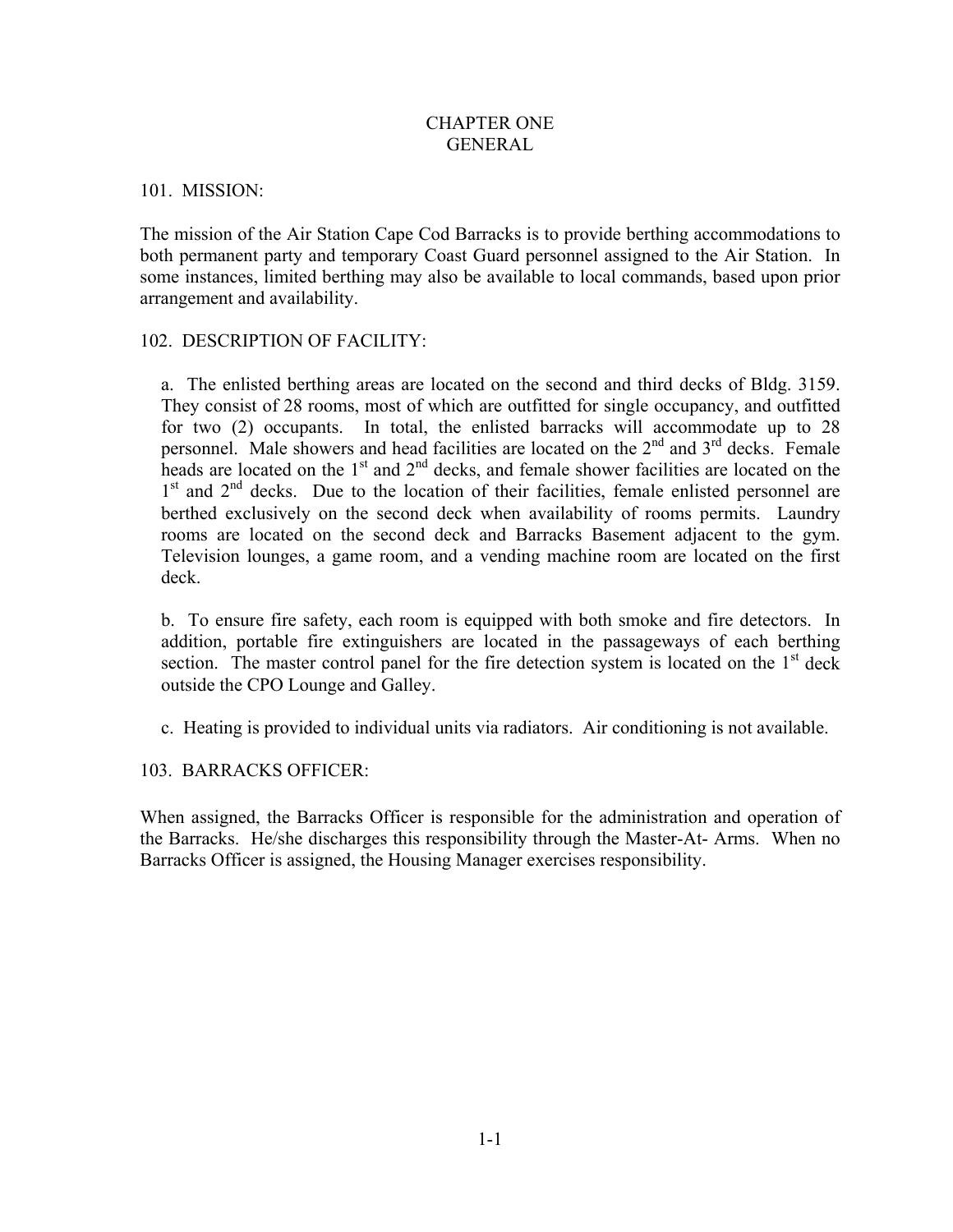## CHAPTER ONE GENERAL

#### 101. MISSION:

The mission of the Air Station Cape Cod Barracks is to provide berthing accommodations to both permanent party and temporary Coast Guard personnel assigned to the Air Station. In some instances, limited berthing may also be available to local commands, based upon prior arrangement and availability.

## 102. DESCRIPTION OF FACILITY:

a. The enlisted berthing areas are located on the second and third decks of Bldg. 3159. They consist of 28 rooms, most of which are outfitted for single occupancy, and outfitted for two (2) occupants. In total, the enlisted barracks will accommodate up to 28 personnel. Male showers and head facilities are located on the  $2<sup>nd</sup>$  and  $3<sup>rd</sup>$  decks. Female heads are located on the  $1<sup>st</sup>$  and  $2<sup>nd</sup>$  decks, and female shower facilities are located on the  $1<sup>st</sup>$  and  $2<sup>nd</sup>$  decks. Due to the location of their facilities, female enlisted personnel are berthed exclusively on the second deck when availability of rooms permits. Laundry rooms are located on the second deck and Barracks Basement adjacent to the gym. Television lounges, a game room, and a vending machine room are located on the first deck.

b. To ensure fire safety, each room is equipped with both smoke and fire detectors. In addition, portable fire extinguishers are located in the passageways of each berthing section. The master control panel for the fire detection system is located on the  $1<sup>st</sup>$  deck outside the CPO Lounge and Galley.

c. Heating is provided to individual units via radiators. Air conditioning is not available.

#### 103. BARRACKS OFFICER:

When assigned, the Barracks Officer is responsible for the administration and operation of the Barracks. He/she discharges this responsibility through the Master-At- Arms. When no Barracks Officer is assigned, the Housing Manager exercises responsibility.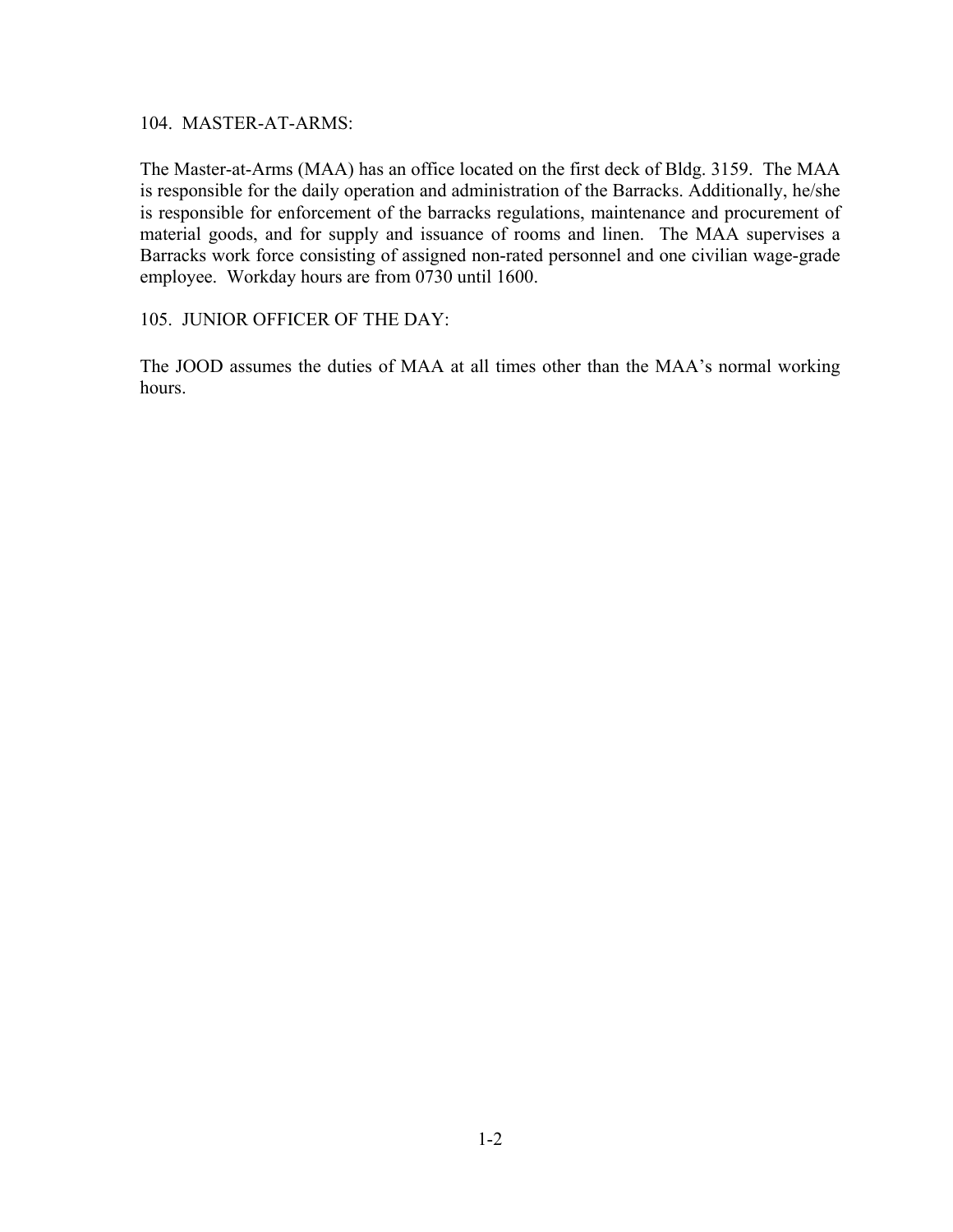104. MASTER-AT-ARMS:

The Master-at-Arms (MAA) has an office located on the first deck of Bldg. 3159. The MAA is responsible for the daily operation and administration of the Barracks. Additionally, he/she is responsible for enforcement of the barracks regulations, maintenance and procurement of material goods, and for supply and issuance of rooms and linen. The MAA supervises a Barracks work force consisting of assigned non-rated personnel and one civilian wage-grade employee. Workday hours are from 0730 until 1600.

## 105. JUNIOR OFFICER OF THE DAY:

The JOOD assumes the duties of MAA at all times other than the MAA's normal working hours.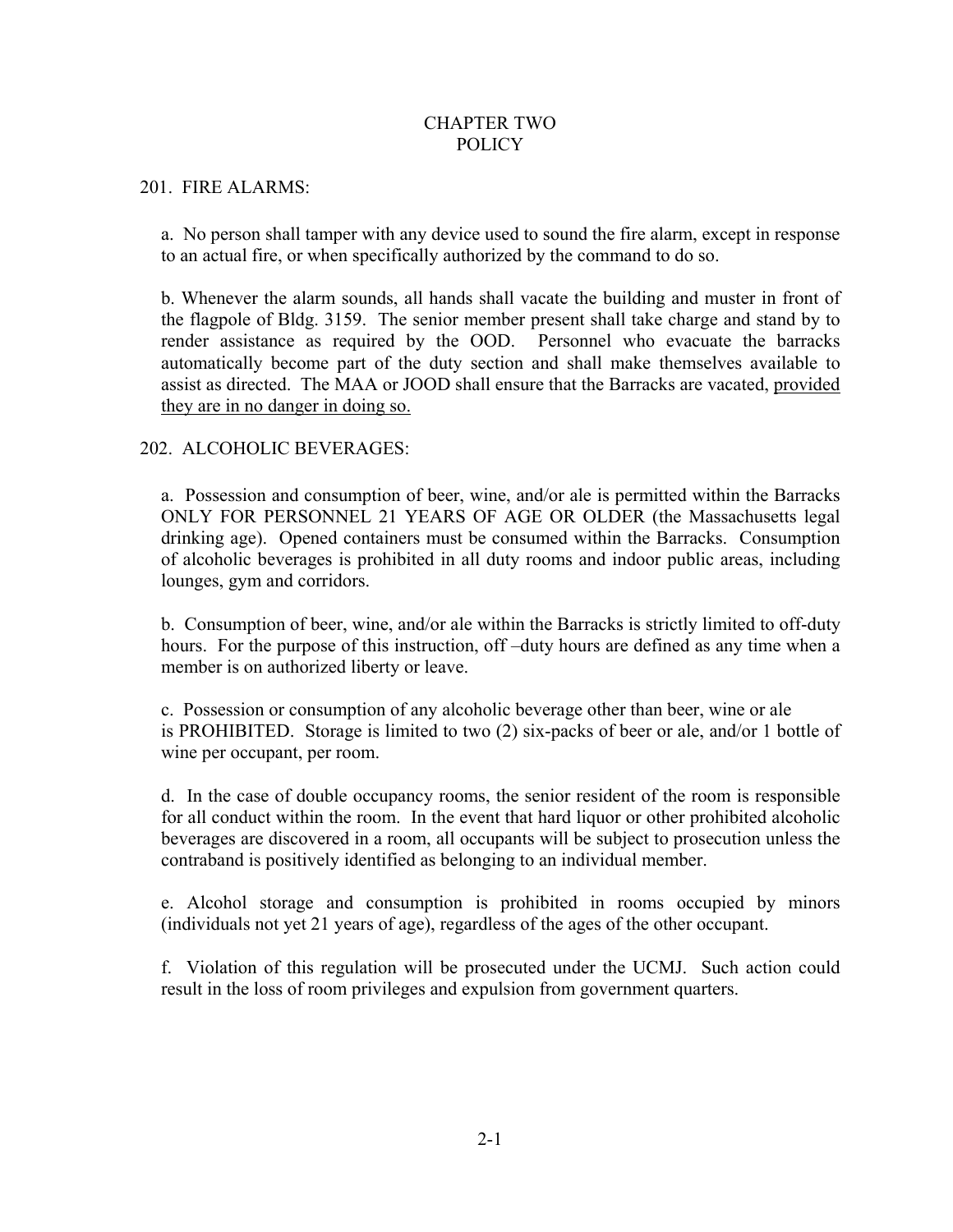## CHAPTER TWO POLICY

#### 201. FIRE ALARMS:

a. No person shall tamper with any device used to sound the fire alarm, except in response to an actual fire, or when specifically authorized by the command to do so.

b. Whenever the alarm sounds, all hands shall vacate the building and muster in front of the flagpole of Bldg. 3159. The senior member present shall take charge and stand by to render assistance as required by the OOD. Personnel who evacuate the barracks automatically become part of the duty section and shall make themselves available to assist as directed. The MAA or JOOD shall ensure that the Barracks are vacated, provided they are in no danger in doing so.

## 202. ALCOHOLIC BEVERAGES:

a. Possession and consumption of beer, wine, and/or ale is permitted within the Barracks ONLY FOR PERSONNEL 21 YEARS OF AGE OR OLDER (the Massachusetts legal drinking age). Opened containers must be consumed within the Barracks. Consumption of alcoholic beverages is prohibited in all duty rooms and indoor public areas, including lounges, gym and corridors.

b. Consumption of beer, wine, and/or ale within the Barracks is strictly limited to off-duty hours. For the purpose of this instruction, off-duty hours are defined as any time when a member is on authorized liberty or leave.

c. Possession or consumption of any alcoholic beverage other than beer, wine or ale is PROHIBITED. Storage is limited to two (2) six-packs of beer or ale, and/or 1 bottle of wine per occupant, per room.

d. In the case of double occupancy rooms, the senior resident of the room is responsible for all conduct within the room. In the event that hard liquor or other prohibited alcoholic beverages are discovered in a room, all occupants will be subject to prosecution unless the contraband is positively identified as belonging to an individual member.

e. Alcohol storage and consumption is prohibited in rooms occupied by minors (individuals not yet 21 years of age), regardless of the ages of the other occupant.

f. Violation of this regulation will be prosecuted under the UCMJ. Such action could result in the loss of room privileges and expulsion from government quarters.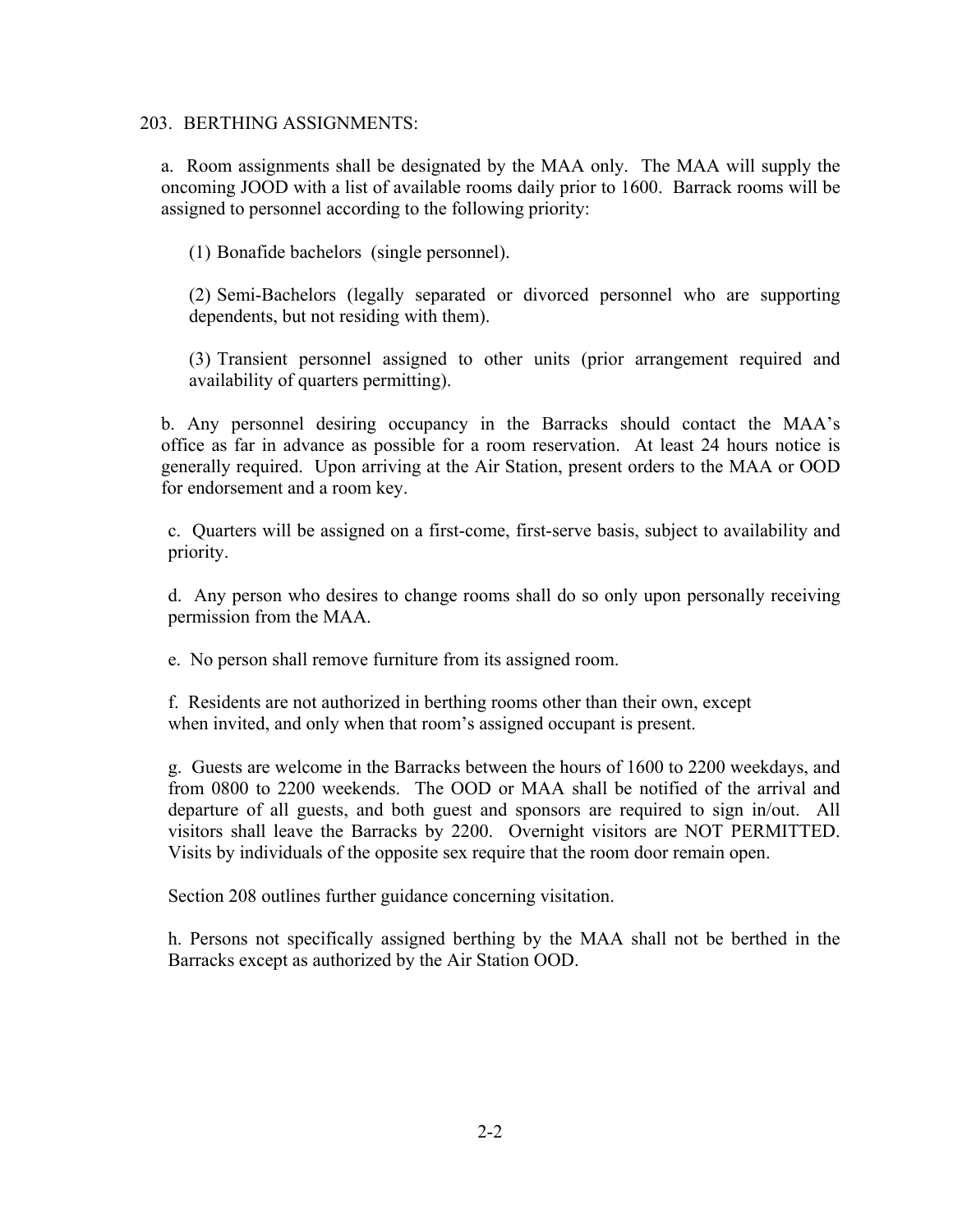#### 203. BERTHING ASSIGNMENTS:

a. Room assignments shall be designated by the MAA only. The MAA will supply the oncoming JOOD with a list of available rooms daily prior to 1600. Barrack rooms will be assigned to personnel according to the following priority:

(1) Bonafide bachelors (single personnel).

(2) Semi-Bachelors (legally separated or divorced personnel who are supporting dependents, but not residing with them).

(3) Transient personnel assigned to other units (prior arrangement required and availability of quarters permitting).

b. Any personnel desiring occupancy in the Barracks should contact the MAA's office as far in advance as possible for a room reservation. At least 24 hours notice is generally required. Upon arriving at the Air Station, present orders to the MAA or OOD for endorsement and a room key.

c. Quarters will be assigned on a first-come, first-serve basis, subject to availability and priority.

d. Any person who desires to change rooms shall do so only upon personally receiving permission from the MAA.

e. No person shall remove furniture from its assigned room.

f. Residents are not authorized in berthing rooms other than their own, except when invited, and only when that room's assigned occupant is present.

g. Guests are welcome in the Barracks between the hours of 1600 to 2200 weekdays, and from 0800 to 2200 weekends. The OOD or MAA shall be notified of the arrival and departure of all guests, and both guest and sponsors are required to sign in/out. All visitors shall leave the Barracks by 2200. Overnight visitors are NOT PERMITTED. Visits by individuals of the opposite sex require that the room door remain open.

Section 208 outlines further guidance concerning visitation.

h. Persons not specifically assigned berthing by the MAA shall not be berthed in the Barracks except as authorized by the Air Station OOD.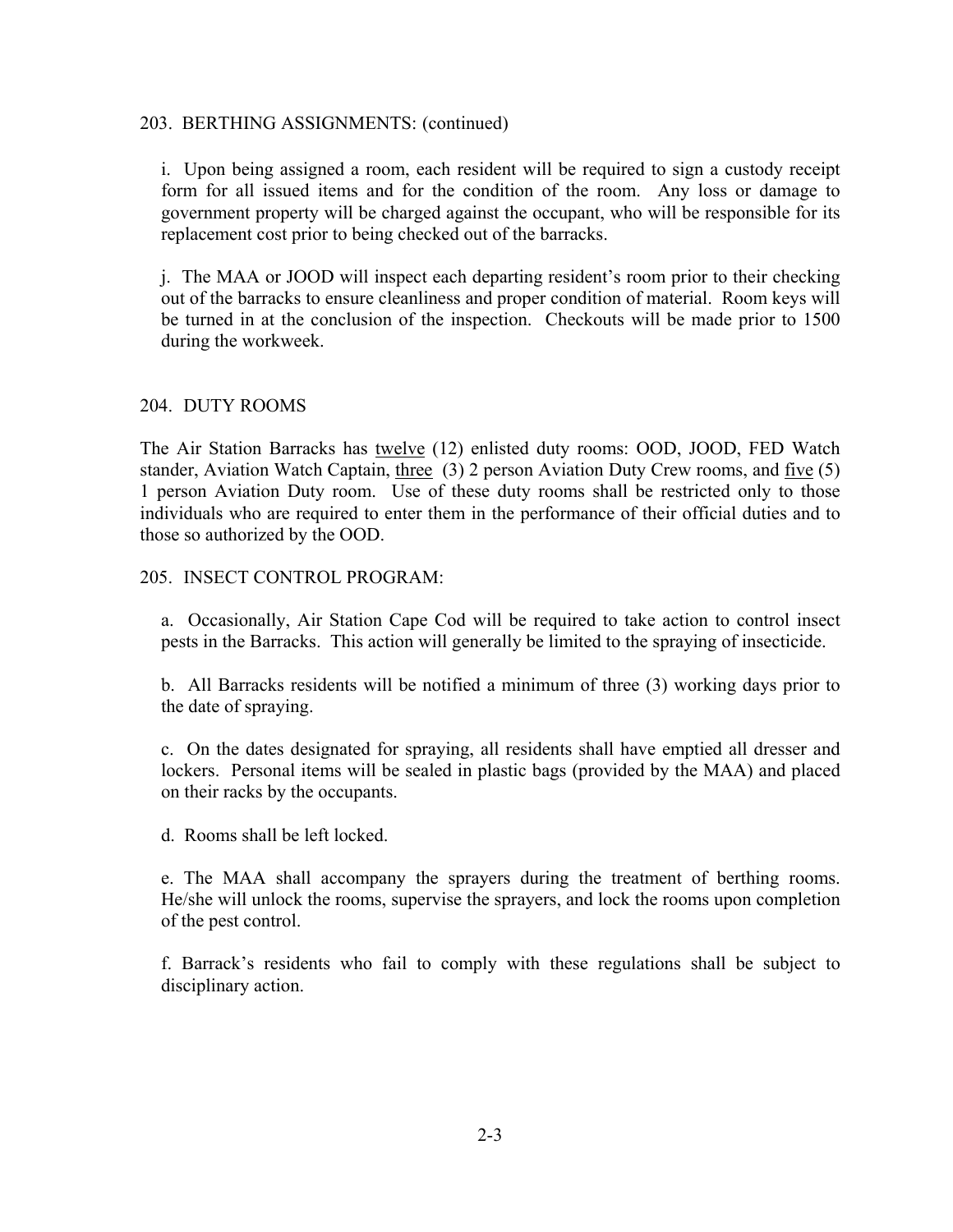#### 203. BERTHING ASSIGNMENTS: (continued)

i. Upon being assigned a room, each resident will be required to sign a custody receipt form for all issued items and for the condition of the room. Any loss or damage to government property will be charged against the occupant, who will be responsible for its replacement cost prior to being checked out of the barracks.

j. The MAA or JOOD will inspect each departing resident's room prior to their checking out of the barracks to ensure cleanliness and proper condition of material. Room keys will be turned in at the conclusion of the inspection. Checkouts will be made prior to 1500 during the workweek.

#### 204. DUTY ROOMS

The Air Station Barracks has twelve (12) enlisted duty rooms: OOD, JOOD, FED Watch stander, Aviation Watch Captain, three (3) 2 person Aviation Duty Crew rooms, and five (5) 1 person Aviation Duty room. Use of these duty rooms shall be restricted only to those individuals who are required to enter them in the performance of their official duties and to those so authorized by the OOD.

#### 205. INSECT CONTROL PROGRAM:

a. Occasionally, Air Station Cape Cod will be required to take action to control insect pests in the Barracks. This action will generally be limited to the spraying of insecticide.

b. All Barracks residents will be notified a minimum of three (3) working days prior to the date of spraying.

c. On the dates designated for spraying, all residents shall have emptied all dresser and lockers. Personal items will be sealed in plastic bags (provided by the MAA) and placed on their racks by the occupants.

d. Rooms shall be left locked.

e. The MAA shall accompany the sprayers during the treatment of berthing rooms. He/she will unlock the rooms, supervise the sprayers, and lock the rooms upon completion of the pest control.

f. Barrack's residents who fail to comply with these regulations shall be subject to disciplinary action.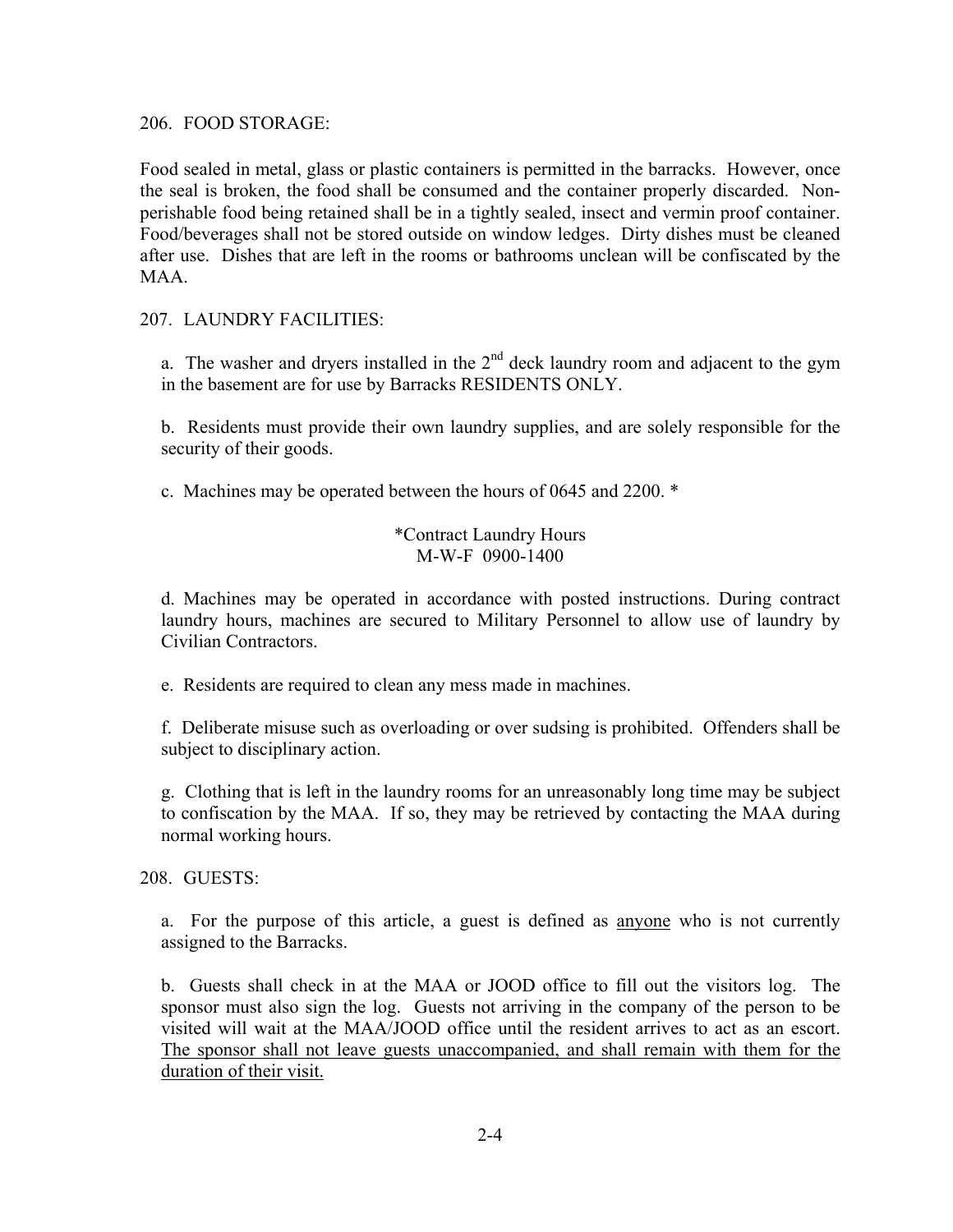206. FOOD STORAGE:

Food sealed in metal, glass or plastic containers is permitted in the barracks. However, once the seal is broken, the food shall be consumed and the container properly discarded. Nonperishable food being retained shall be in a tightly sealed, insect and vermin proof container. Food/beverages shall not be stored outside on window ledges. Dirty dishes must be cleaned after use. Dishes that are left in the rooms or bathrooms unclean will be confiscated by the MAA.

#### 207. LAUNDRY FACILITIES:

a. The washer and dryers installed in the  $2<sup>nd</sup>$  deck laundry room and adjacent to the gym in the basement are for use by Barracks RESIDENTS ONLY.

b. Residents must provide their own laundry supplies, and are solely responsible for the security of their goods.

c. Machines may be operated between the hours of 0645 and 2200. \*

## \*Contract Laundry Hours M-W-F 0900-1400

d. Machines may be operated in accordance with posted instructions. During contract laundry hours, machines are secured to Military Personnel to allow use of laundry by Civilian Contractors.

e. Residents are required to clean any mess made in machines.

f. Deliberate misuse such as overloading or over sudsing is prohibited. Offenders shall be subject to disciplinary action.

g. Clothing that is left in the laundry rooms for an unreasonably long time may be subject to confiscation by the MAA. If so, they may be retrieved by contacting the MAA during normal working hours.

208. GUESTS:

a. For the purpose of this article, a guest is defined as anyone who is not currently assigned to the Barracks.

b. Guests shall check in at the MAA or JOOD office to fill out the visitors log. The sponsor must also sign the log. Guests not arriving in the company of the person to be visited will wait at the MAA/JOOD office until the resident arrives to act as an escort. The sponsor shall not leave guests unaccompanied, and shall remain with them for the duration of their visit.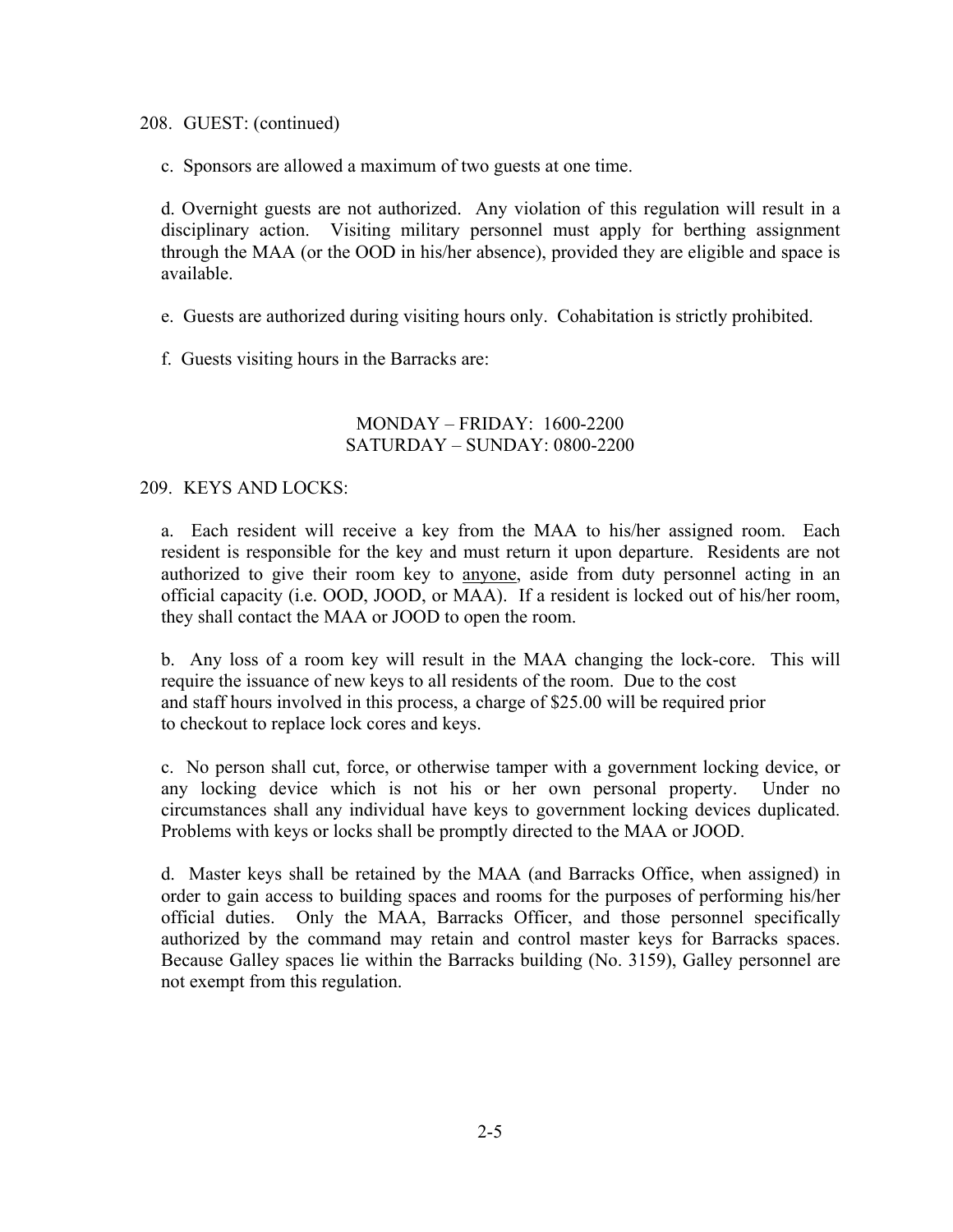208. GUEST: (continued)

c. Sponsors are allowed a maximum of two guests at one time.

d. Overnight guests are not authorized. Any violation of this regulation will result in a disciplinary action. Visiting military personnel must apply for berthing assignment through the MAA (or the OOD in his/her absence), provided they are eligible and space is available.

e. Guests are authorized during visiting hours only. Cohabitation is strictly prohibited.

f. Guests visiting hours in the Barracks are:

## $MONDAY - FRIDAY: 1600-2200$ SATURDAY – SUNDAY: 0800-2200

## 209. KEYS AND LOCKS:

a. Each resident will receive a key from the MAA to his/her assigned room. Each resident is responsible for the key and must return it upon departure. Residents are not authorized to give their room key to anyone, aside from duty personnel acting in an official capacity (i.e. OOD, JOOD, or MAA). If a resident is locked out of his/her room, they shall contact the MAA or JOOD to open the room.

b. Any loss of a room key will result in the MAA changing the lock-core. This will require the issuance of new keys to all residents of the room. Due to the cost and staff hours involved in this process, a charge of \$25.00 will be required prior to checkout to replace lock cores and keys.

c. No person shall cut, force, or otherwise tamper with a government locking device, or any locking device which is not his or her own personal property. Under no circumstances shall any individual have keys to government locking devices duplicated. Problems with keys or locks shall be promptly directed to the MAA or JOOD.

d. Master keys shall be retained by the MAA (and Barracks Office, when assigned) in order to gain access to building spaces and rooms for the purposes of performing his/her official duties. Only the MAA, Barracks Officer, and those personnel specifically authorized by the command may retain and control master keys for Barracks spaces. Because Galley spaces lie within the Barracks building (No. 3159), Galley personnel are not exempt from this regulation.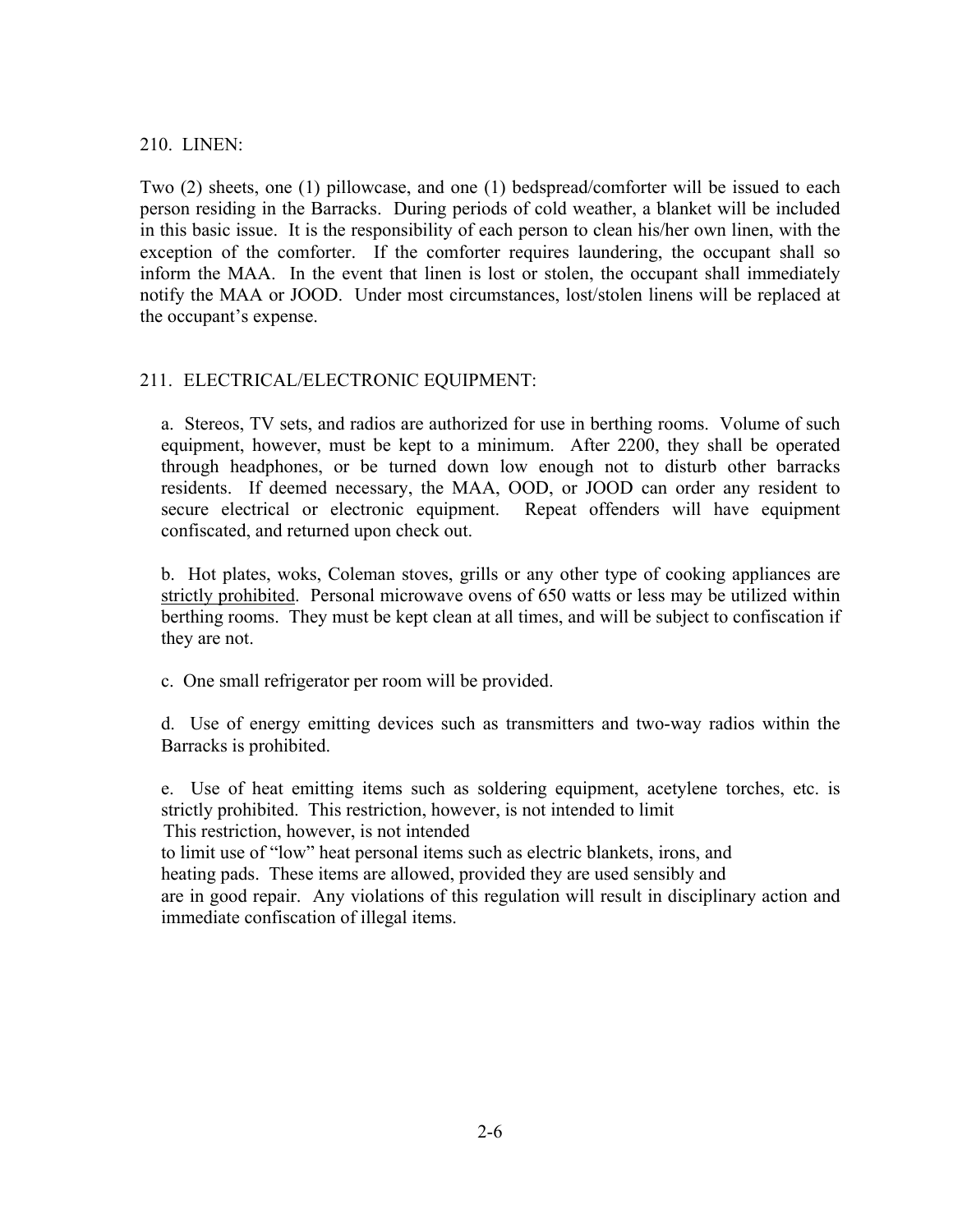#### 210. LINEN:

Two (2) sheets, one (1) pillowcase, and one (1) bedspread/comforter will be issued to each person residing in the Barracks. During periods of cold weather, a blanket will be included in this basic issue. It is the responsibility of each person to clean his/her own linen, with the exception of the comforter. If the comforter requires laundering, the occupant shall so inform the MAA. In the event that linen is lost or stolen, the occupant shall immediately notify the MAA or JOOD. Under most circumstances, lost/stolen linens will be replaced at the occupant's expense.

## 211. ELECTRICAL/ELECTRONIC EQUIPMENT:

a. Stereos, TV sets, and radios are authorized for use in berthing rooms. Volume of such equipment, however, must be kept to a minimum. After 2200, they shall be operated through headphones, or be turned down low enough not to disturb other barracks residents. If deemed necessary, the MAA, OOD, or JOOD can order any resident to secure electrical or electronic equipment. Repeat offenders will have equipment confiscated, and returned upon check out.

b. Hot plates, woks, Coleman stoves, grills or any other type of cooking appliances are strictly prohibited. Personal microwave ovens of 650 watts or less may be utilized within berthing rooms. They must be kept clean at all times, and will be subject to confiscation if they are not.

c. One small refrigerator per room will be provided.

d. Use of energy emitting devices such as transmitters and two-way radios within the Barracks is prohibited.

e. Use of heat emitting items such as soldering equipment, acetylene torches, etc. is strictly prohibited. This restriction, however, is not intended to limit This restriction, however, is not intended to limit use of "low" heat personal items such as electric blankets, irons, and heating pads. These items are allowed, provided they are used sensibly and are in good repair. Any violations of this regulation will result in disciplinary action and immediate confiscation of illegal items.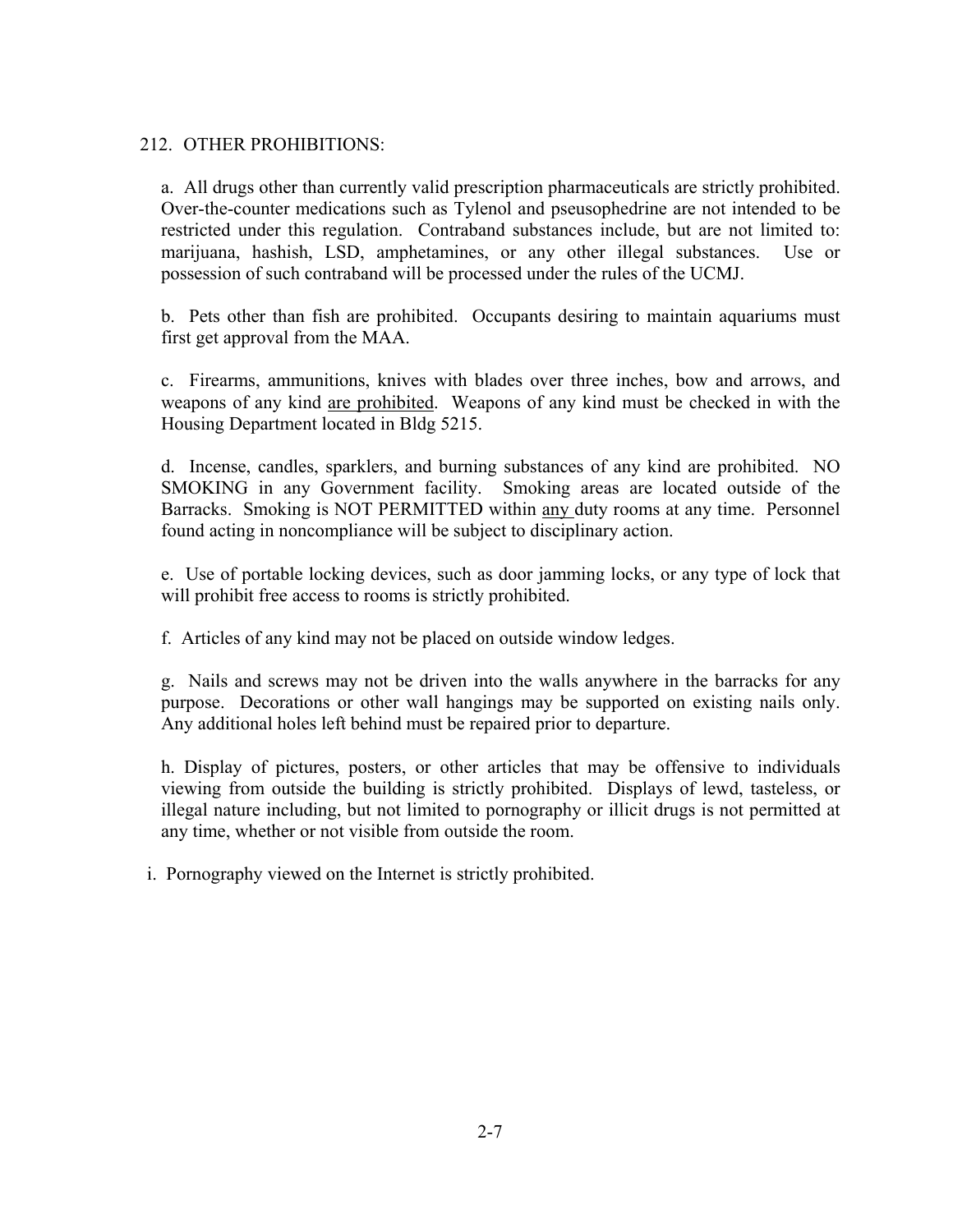## 212. OTHER PROHIBITIONS:

a. All drugs other than currently valid prescription pharmaceuticals are strictly prohibited. Over-the-counter medications such as Tylenol and pseusophedrine are not intended to be restricted under this regulation. Contraband substances include, but are not limited to: marijuana, hashish, LSD, amphetamines, or any other illegal substances. Use or possession of such contraband will be processed under the rules of the UCMJ.

b. Pets other than fish are prohibited. Occupants desiring to maintain aquariums must first get approval from the MAA.

c. Firearms, ammunitions, knives with blades over three inches, bow and arrows, and weapons of any kind are prohibited. Weapons of any kind must be checked in with the Housing Department located in Bldg 5215.

d. Incense, candles, sparklers, and burning substances of any kind are prohibited. NO SMOKING in any Government facility. Smoking areas are located outside of the Barracks. Smoking is NOT PERMITTED within any duty rooms at any time. Personnel found acting in noncompliance will be subject to disciplinary action.

e. Use of portable locking devices, such as door jamming locks, or any type of lock that will prohibit free access to rooms is strictly prohibited.

f. Articles of any kind may not be placed on outside window ledges.

g. Nails and screws may not be driven into the walls anywhere in the barracks for any purpose. Decorations or other wall hangings may be supported on existing nails only. Any additional holes left behind must be repaired prior to departure.

h. Display of pictures, posters, or other articles that may be offensive to individuals viewing from outside the building is strictly prohibited. Displays of lewd, tasteless, or illegal nature including, but not limited to pornography or illicit drugs is not permitted at any time, whether or not visible from outside the room.

i. Pornography viewed on the Internet is strictly prohibited.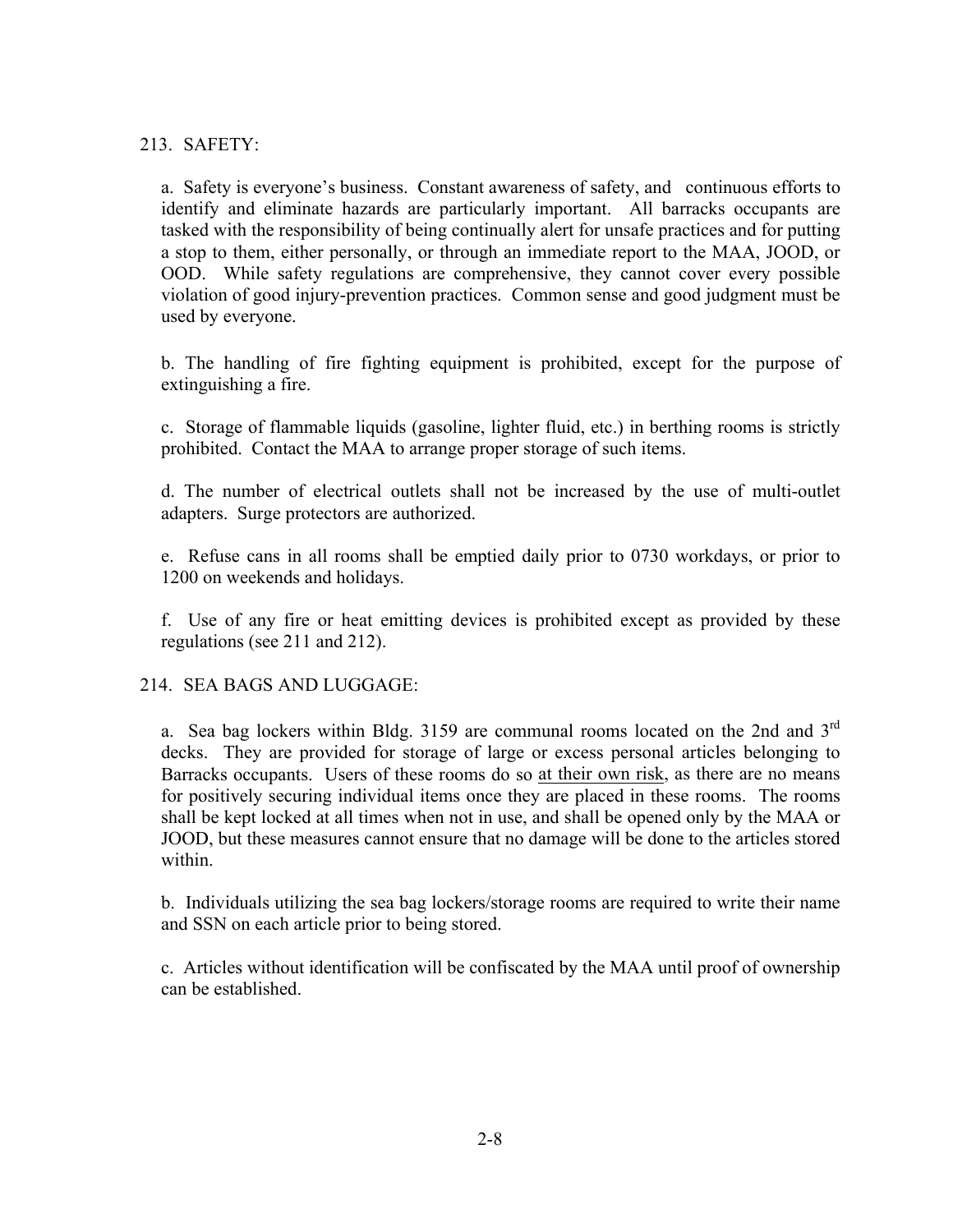## 213. SAFETY:

a. Safety is everyone's business. Constant awareness of safety, and continuous efforts to identify and eliminate hazards are particularly important. All barracks occupants are tasked with the responsibility of being continually alert for unsafe practices and for putting a stop to them, either personally, or through an immediate report to the MAA, JOOD, or OOD. While safety regulations are comprehensive, they cannot cover every possible violation of good injury-prevention practices. Common sense and good judgment must be used by everyone.

b. The handling of fire fighting equipment is prohibited, except for the purpose of extinguishing a fire.

c. Storage of flammable liquids (gasoline, lighter fluid, etc.) in berthing rooms is strictly prohibited. Contact the MAA to arrange proper storage of such items.

d. The number of electrical outlets shall not be increased by the use of multi-outlet adapters. Surge protectors are authorized.

e. Refuse cans in all rooms shall be emptied daily prior to 0730 workdays, or prior to 1200 on weekends and holidays.

f. Use of any fire or heat emitting devices is prohibited except as provided by these regulations (see 211 and 212).

214. SEA BAGS AND LUGGAGE:

a. Sea bag lockers within Bldg. 3159 are communal rooms located on the 2nd and  $3<sup>rd</sup>$ decks. They are provided for storage of large or excess personal articles belonging to Barracks occupants. Users of these rooms do so at their own risk, as there are no means for positively securing individual items once they are placed in these rooms. The rooms shall be kept locked at all times when not in use, and shall be opened only by the MAA or JOOD, but these measures cannot ensure that no damage will be done to the articles stored within.

b. Individuals utilizing the sea bag lockers/storage rooms are required to write their name and SSN on each article prior to being stored.

c. Articles without identification will be confiscated by the MAA until proof of ownership can be established.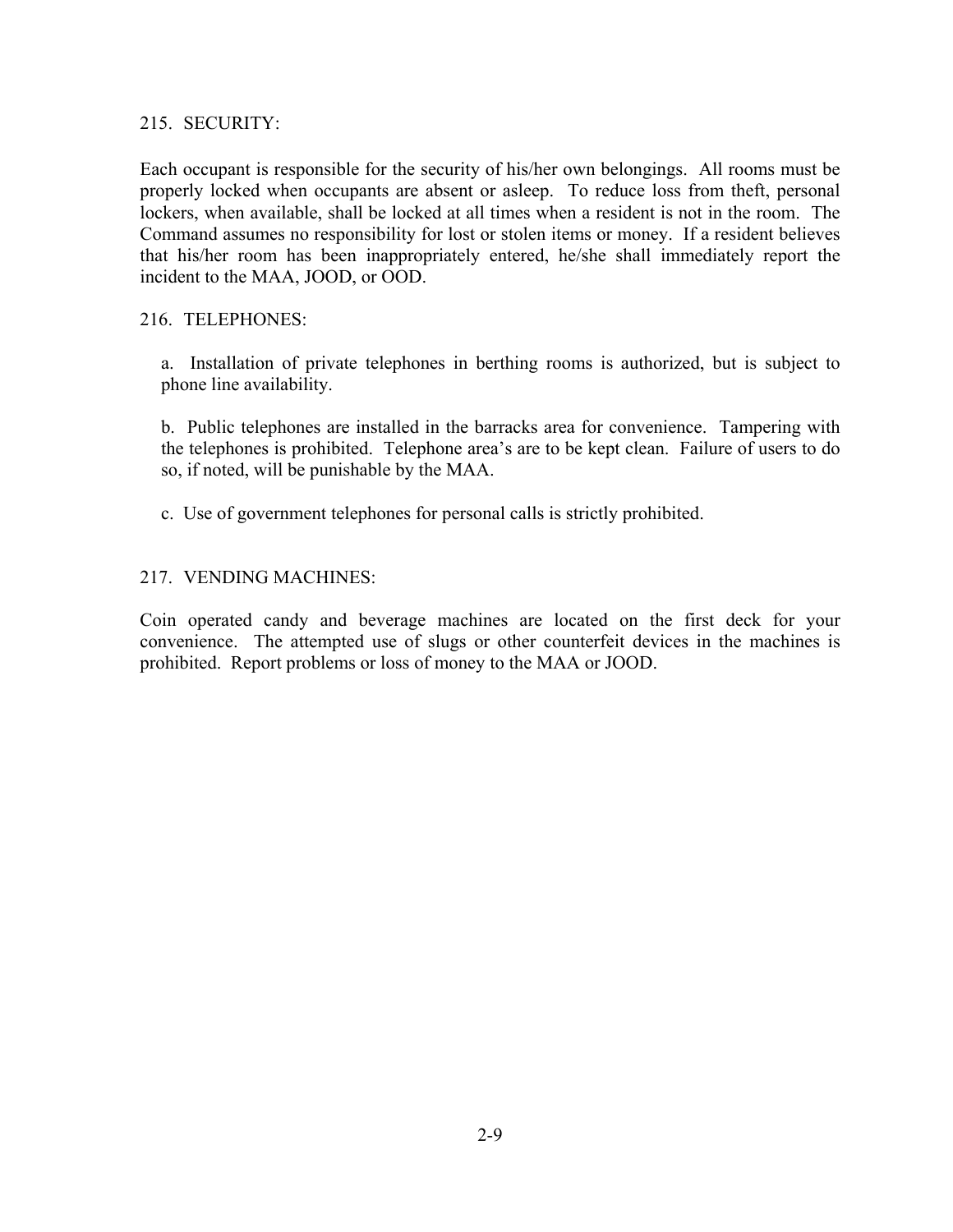#### 215. SECURITY:

Each occupant is responsible for the security of his/her own belongings. All rooms must be properly locked when occupants are absent or asleep. To reduce loss from theft, personal lockers, when available, shall be locked at all times when a resident is not in the room. The Command assumes no responsibility for lost or stolen items or money. If a resident believes that his/her room has been inappropriately entered, he/she shall immediately report the incident to the MAA, JOOD, or OOD.

## 216. TELEPHONES:

a. Installation of private telephones in berthing rooms is authorized, but is subject to phone line availability.

b. Public telephones are installed in the barracks area for convenience. Tampering with the telephones is prohibited. Telephone area's are to be kept clean. Failure of users to do so, if noted, will be punishable by the MAA.

c. Use of government telephones for personal calls is strictly prohibited.

## 217. VENDING MACHINES:

Coin operated candy and beverage machines are located on the first deck for your convenience. The attempted use of slugs or other counterfeit devices in the machines is prohibited. Report problems or loss of money to the MAA or JOOD.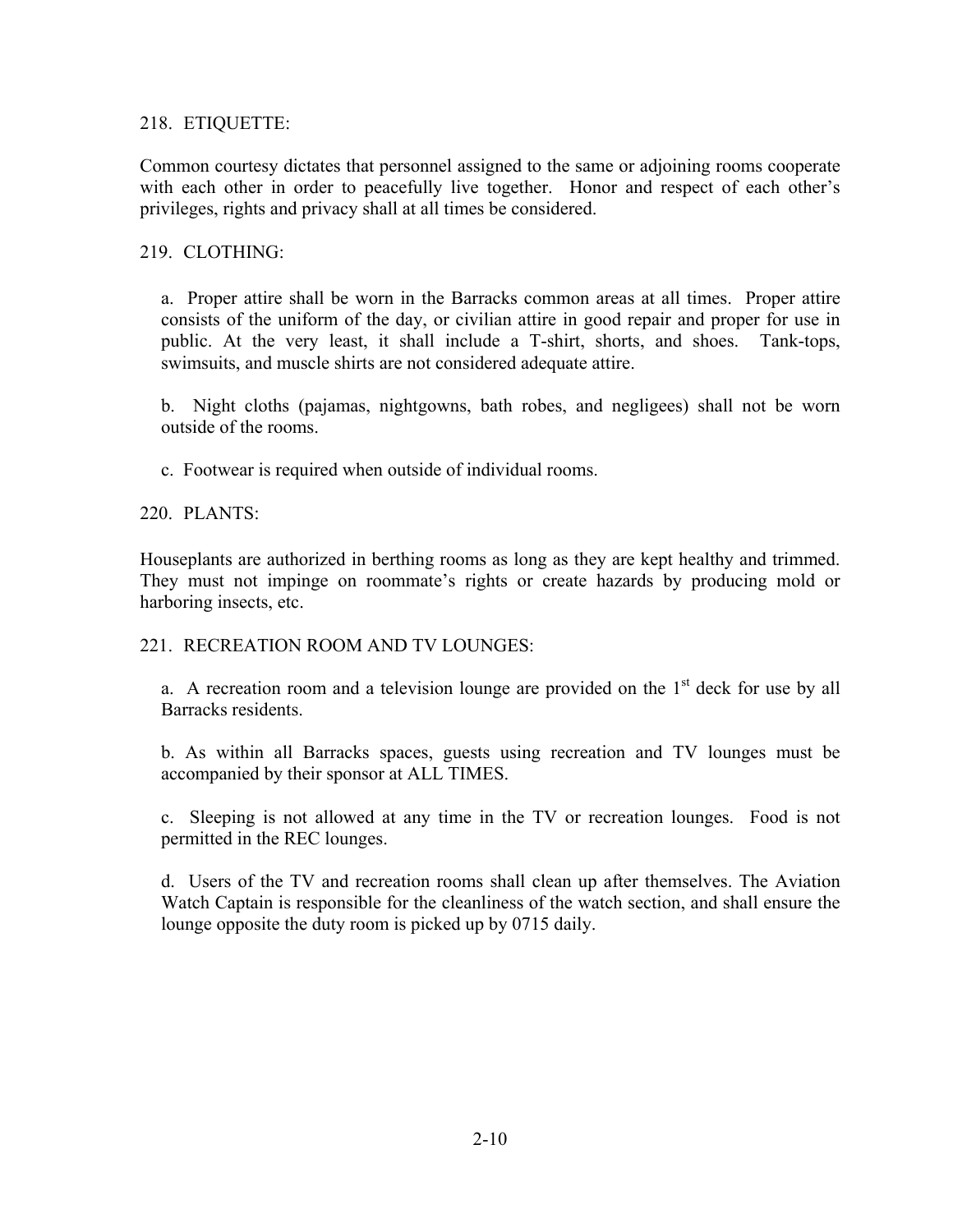## 218. ETIQUETTE:

Common courtesy dictates that personnel assigned to the same or adjoining rooms cooperate with each other in order to peacefully live together. Honor and respect of each other's privileges, rights and privacy shall at all times be considered.

#### 219. CLOTHING:

a. Proper attire shall be worn in the Barracks common areas at all times. Proper attire consists of the uniform of the day, or civilian attire in good repair and proper for use in public. At the very least, it shall include a T-shirt, shorts, and shoes. Tank-tops, swimsuits, and muscle shirts are not considered adequate attire.

b. Night cloths (pajamas, nightgowns, bath robes, and negligees) shall not be worn outside of the rooms.

c. Footwear is required when outside of individual rooms.

## 220. PLANTS:

Houseplants are authorized in berthing rooms as long as they are kept healthy and trimmed. They must not impinge on roommate's rights or create hazards by producing mold or harboring insects, etc.

#### 221. RECREATION ROOM AND TV LOUNGES.

a. A recreation room and a television lounge are provided on the  $1<sup>st</sup>$  deck for use by all Barracks residents.

b. As within all Barracks spaces, guests using recreation and TV lounges must be accompanied by their sponsor at ALL TIMES.

c. Sleeping is not allowed at any time in the TV or recreation lounges. Food is not permitted in the REC lounges.

d. Users of the TV and recreation rooms shall clean up after themselves. The Aviation Watch Captain is responsible for the cleanliness of the watch section, and shall ensure the lounge opposite the duty room is picked up by 0715 daily.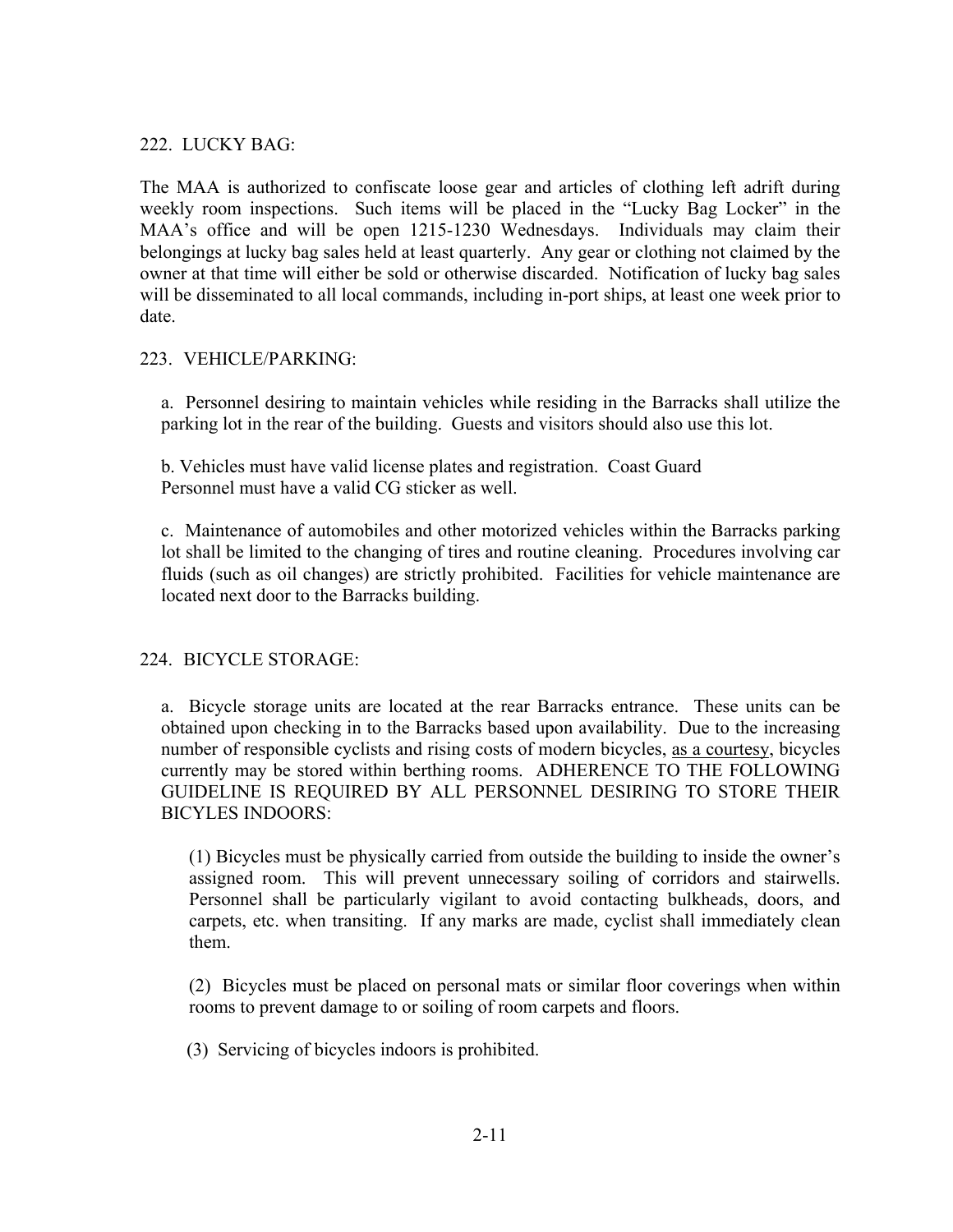## 222. LUCKY BAG:

The MAA is authorized to confiscate loose gear and articles of clothing left adrift during weekly room inspections. Such items will be placed in the "Lucky Bag Locker" in the MAA's office and will be open 1215-1230 Wednesdays. Individuals may claim their belongings at lucky bag sales held at least quarterly. Any gear or clothing not claimed by the owner at that time will either be sold or otherwise discarded. Notification of lucky bag sales will be disseminated to all local commands, including in-port ships, at least one week prior to date.

## 223. VEHICLE/PARKING:

a. Personnel desiring to maintain vehicles while residing in the Barracks shall utilize the parking lot in the rear of the building. Guests and visitors should also use this lot.

b. Vehicles must have valid license plates and registration. Coast Guard Personnel must have a valid CG sticker as well.

c. Maintenance of automobiles and other motorized vehicles within the Barracks parking lot shall be limited to the changing of tires and routine cleaning. Procedures involving car fluids (such as oil changes) are strictly prohibited. Facilities for vehicle maintenance are located next door to the Barracks building.

## 224. BICYCLE STORAGE:

a. Bicycle storage units are located at the rear Barracks entrance. These units can be obtained upon checking in to the Barracks based upon availability. Due to the increasing number of responsible cyclists and rising costs of modern bicycles, as a courtesy, bicycles currently may be stored within berthing rooms. ADHERENCE TO THE FOLLOWING GUIDELINE IS REQUIRED BY ALL PERSONNEL DESIRING TO STORE THEIR BICYLES INDOORS:

(1) Bicycles must be physically carried from outside the building to inside the owner's assigned room. This will prevent unnecessary soiling of corridors and stairwells. Personnel shall be particularly vigilant to avoid contacting bulkheads, doors, and carpets, etc. when transiting. If any marks are made, cyclist shall immediately clean them.

(2) Bicycles must be placed on personal mats or similar floor coverings when within rooms to prevent damage to or soiling of room carpets and floors.

(3) Servicing of bicycles indoors is prohibited.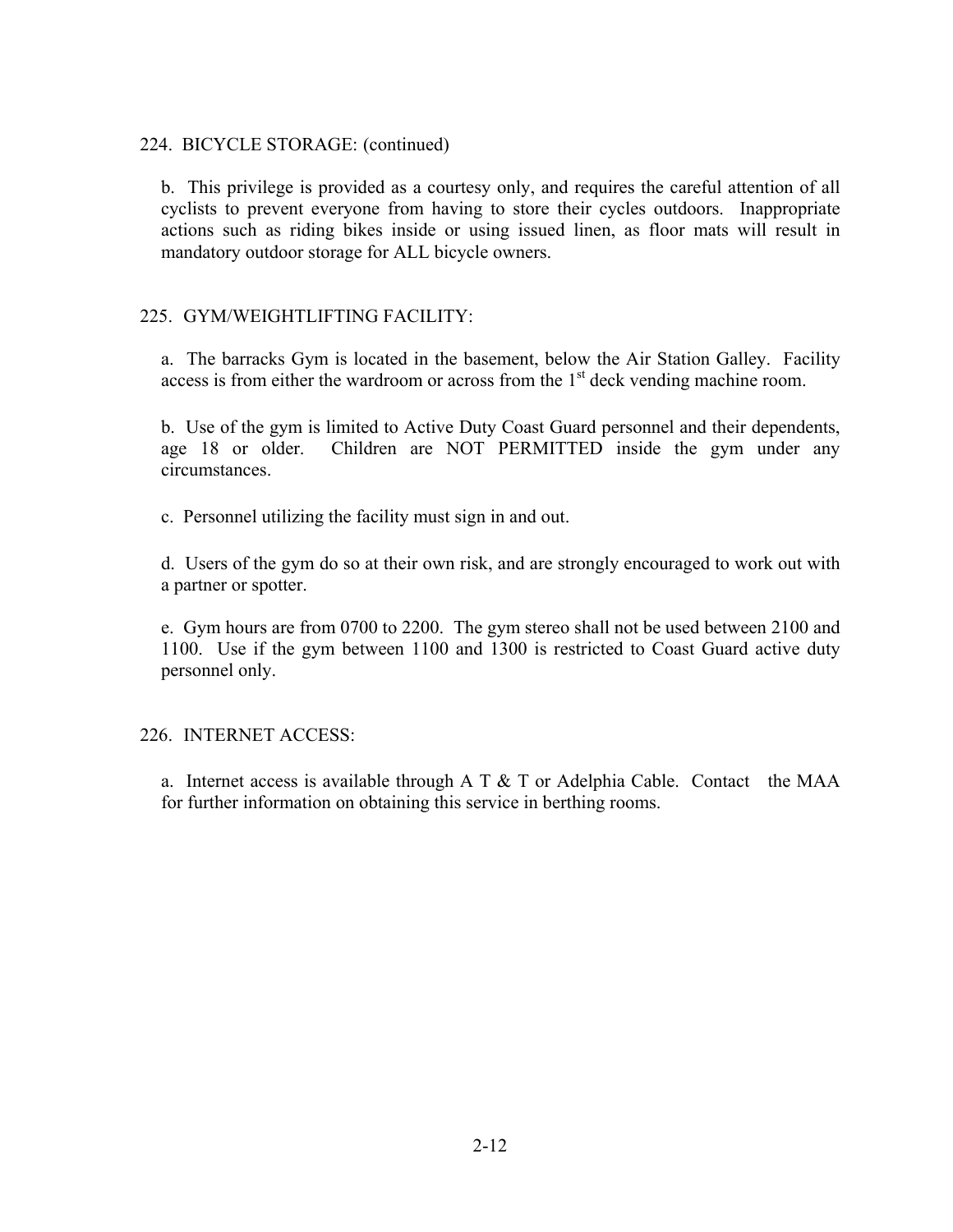#### 224. BICYCLE STORAGE: (continued)

b. This privilege is provided as a courtesy only, and requires the careful attention of all cyclists to prevent everyone from having to store their cycles outdoors. Inappropriate actions such as riding bikes inside or using issued linen, as floor mats will result in mandatory outdoor storage for ALL bicycle owners.

## 225. GYM/WEIGHTLIFTING FACILITY:

a. The barracks Gym is located in the basement, below the Air Station Galley. Facility access is from either the wardroom or across from the  $1<sup>st</sup>$  deck vending machine room.

b. Use of the gym is limited to Active Duty Coast Guard personnel and their dependents, age 18 or older. Children are NOT PERMITTED inside the gym under any circumstances.

c. Personnel utilizing the facility must sign in and out.

d. Users of the gym do so at their own risk, and are strongly encouraged to work out with a partner or spotter.

e. Gym hours are from 0700 to 2200. The gym stereo shall not be used between 2100 and 1100. Use if the gym between 1100 and 1300 is restricted to Coast Guard active duty personnel only.

#### 226. INTERNET ACCESS:

a. Internet access is available through A T  $&$  T or Adelphia Cable. Contact the MAA for further information on obtaining this service in berthing rooms.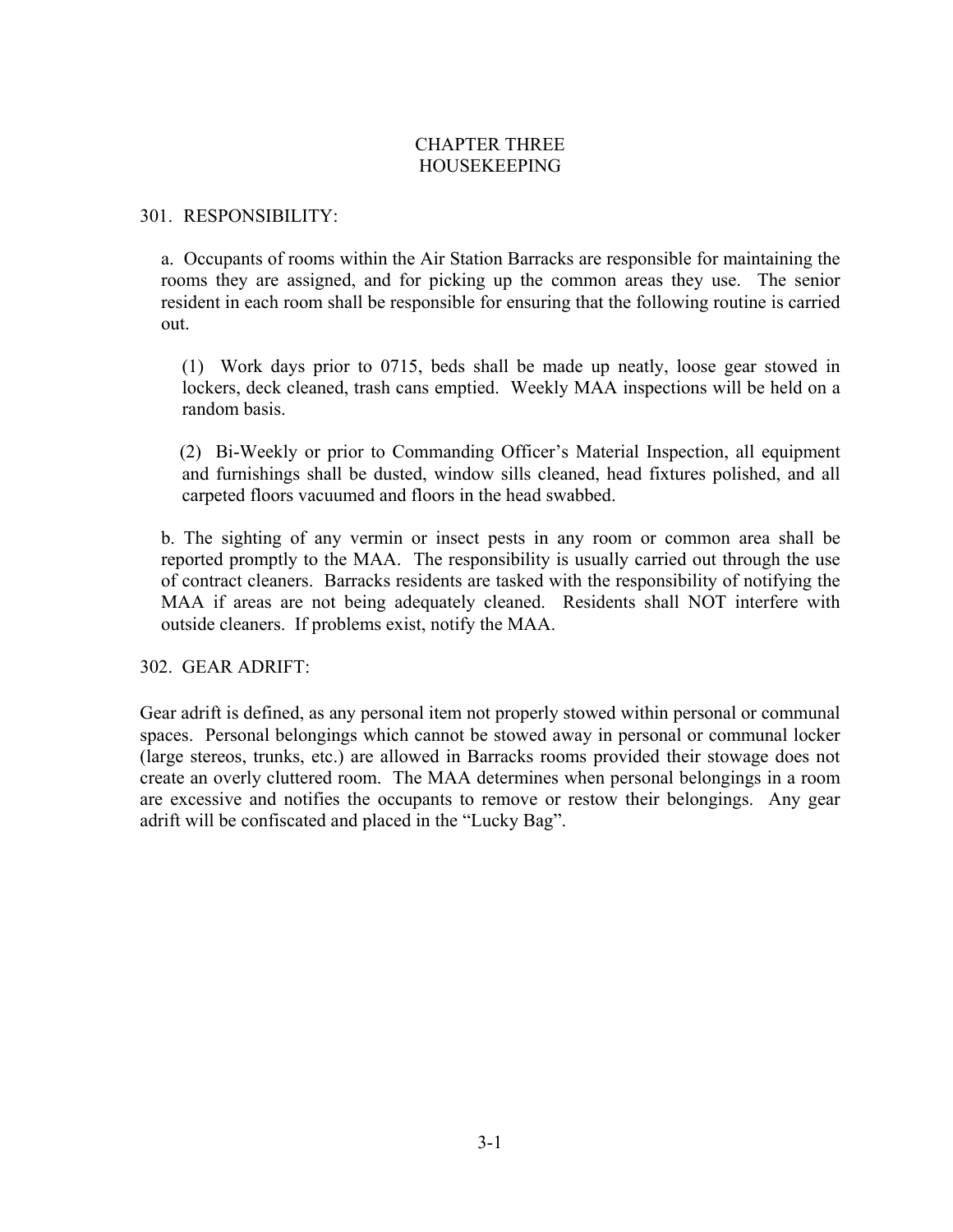## CHAPTER THREE HOUSEKEEPING

#### 301. RESPONSIBILITY:

a. Occupants of rooms within the Air Station Barracks are responsible for maintaining the rooms they are assigned, and for picking up the common areas they use. The senior resident in each room shall be responsible for ensuring that the following routine is carried out.

(1) Work days prior to 0715, beds shall be made up neatly, loose gear stowed in lockers, deck cleaned, trash cans emptied. Weekly MAA inspections will be held on a random basis.

 (2) Bi-Weekly or prior to Commanding Officer's Material Inspection, all equipment and furnishings shall be dusted, window sills cleaned, head fixtures polished, and all carpeted floors vacuumed and floors in the head swabbed.

b. The sighting of any vermin or insect pests in any room or common area shall be reported promptly to the MAA. The responsibility is usually carried out through the use of contract cleaners. Barracks residents are tasked with the responsibility of notifying the MAA if areas are not being adequately cleaned. Residents shall NOT interfere with outside cleaners. If problems exist, notify the MAA.

302. GEAR ADRIFT:

Gear adrift is defined, as any personal item not properly stowed within personal or communal spaces. Personal belongings which cannot be stowed away in personal or communal locker (large stereos, trunks, etc.) are allowed in Barracks rooms provided their stowage does not create an overly cluttered room. The MAA determines when personal belongings in a room are excessive and notifies the occupants to remove or restow their belongings. Any gear adrift will be confiscated and placed in the "Lucky Bag".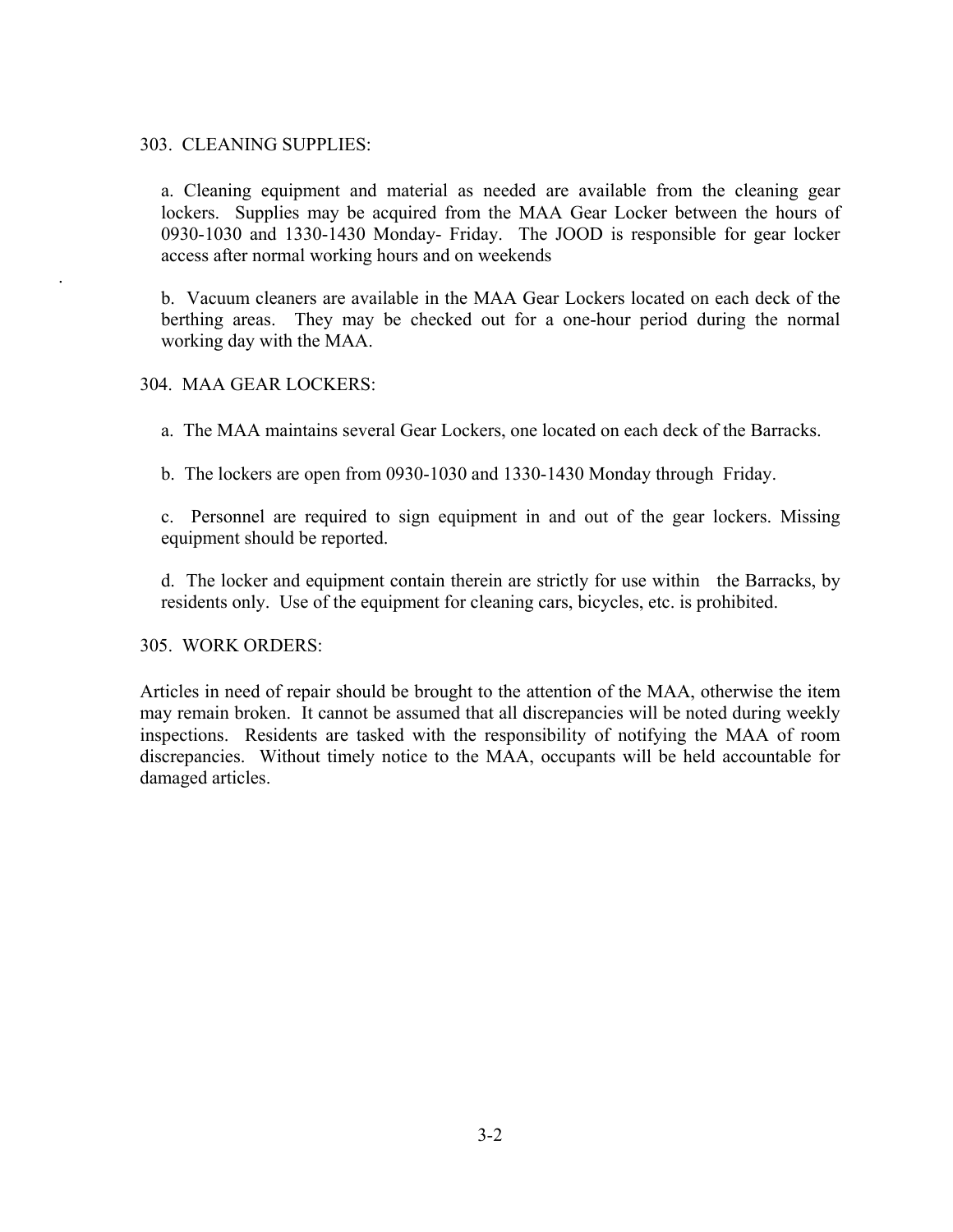#### 303. CLEANING SUPPLIES:

a. Cleaning equipment and material as needed are available from the cleaning gear lockers. Supplies may be acquired from the MAA Gear Locker between the hours of 0930-1030 and 1330-1430 Monday- Friday. The JOOD is responsible for gear locker access after normal working hours and on weekends

b. Vacuum cleaners are available in the MAA Gear Lockers located on each deck of the berthing areas. They may be checked out for a one-hour period during the normal working day with the MAA.

#### 304. MAA GEAR LOCKERS:

.

a. The MAA maintains several Gear Lockers, one located on each deck of the Barracks.

b. The lockers are open from 0930-1030 and 1330-1430 Monday through Friday.

c. Personnel are required to sign equipment in and out of the gear lockers. Missing equipment should be reported.

d. The locker and equipment contain therein are strictly for use within the Barracks, by residents only. Use of the equipment for cleaning cars, bicycles, etc. is prohibited.

#### 305. WORK ORDERS:

Articles in need of repair should be brought to the attention of the MAA, otherwise the item may remain broken. It cannot be assumed that all discrepancies will be noted during weekly inspections. Residents are tasked with the responsibility of notifying the MAA of room discrepancies. Without timely notice to the MAA, occupants will be held accountable for damaged articles.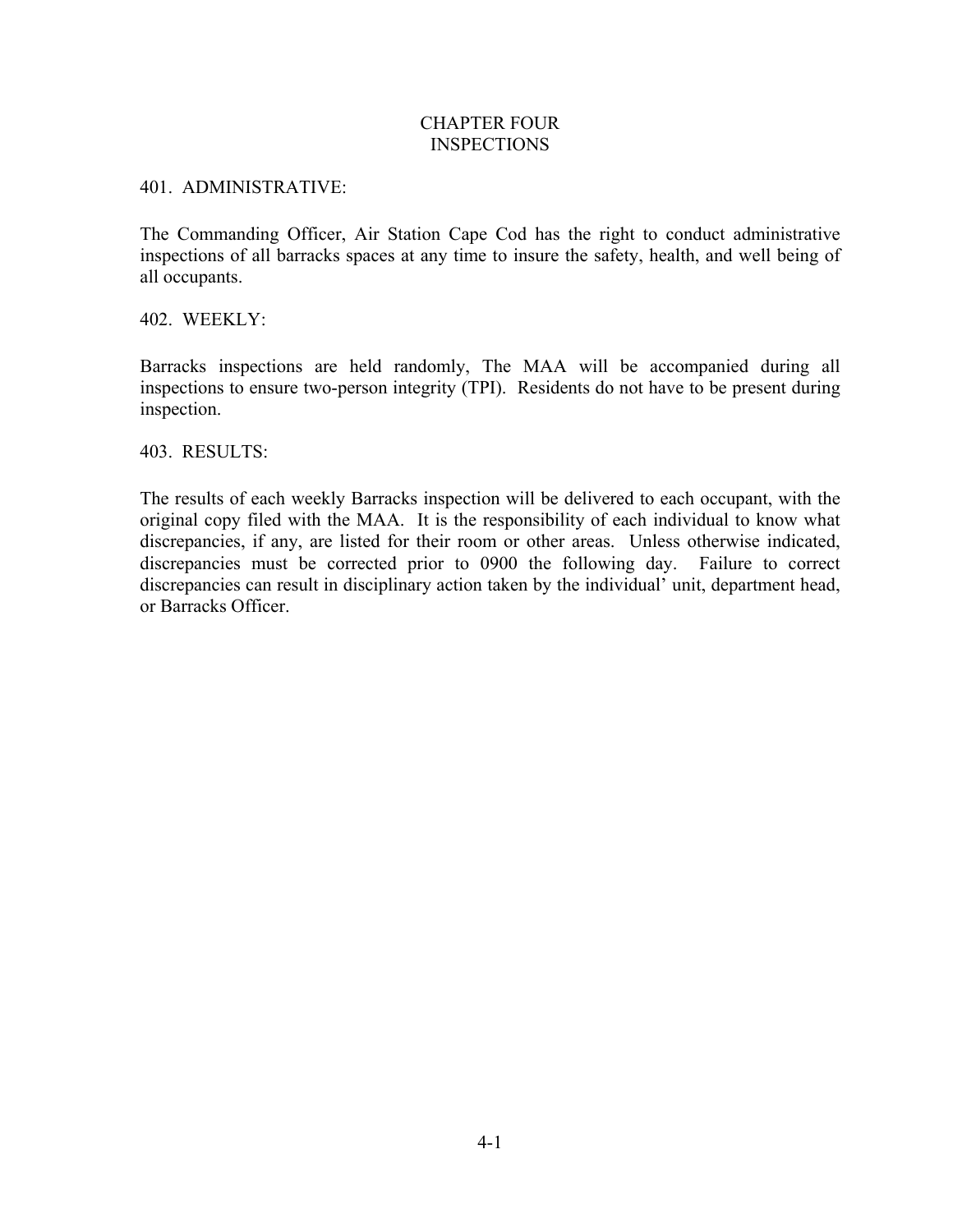#### CHAPTER FOUR INSPECTIONS

#### 401. ADMINISTRATIVE:

The Commanding Officer, Air Station Cape Cod has the right to conduct administrative inspections of all barracks spaces at any time to insure the safety, health, and well being of all occupants.

402. WEEKLY:

Barracks inspections are held randomly, The MAA will be accompanied during all inspections to ensure two-person integrity (TPI). Residents do not have to be present during inspection.

403. RESULTS:

The results of each weekly Barracks inspection will be delivered to each occupant, with the original copy filed with the MAA. It is the responsibility of each individual to know what discrepancies, if any, are listed for their room or other areas. Unless otherwise indicated, discrepancies must be corrected prior to 0900 the following day. Failure to correct discrepancies can result in disciplinary action taken by the individual' unit, department head, or Barracks Officer.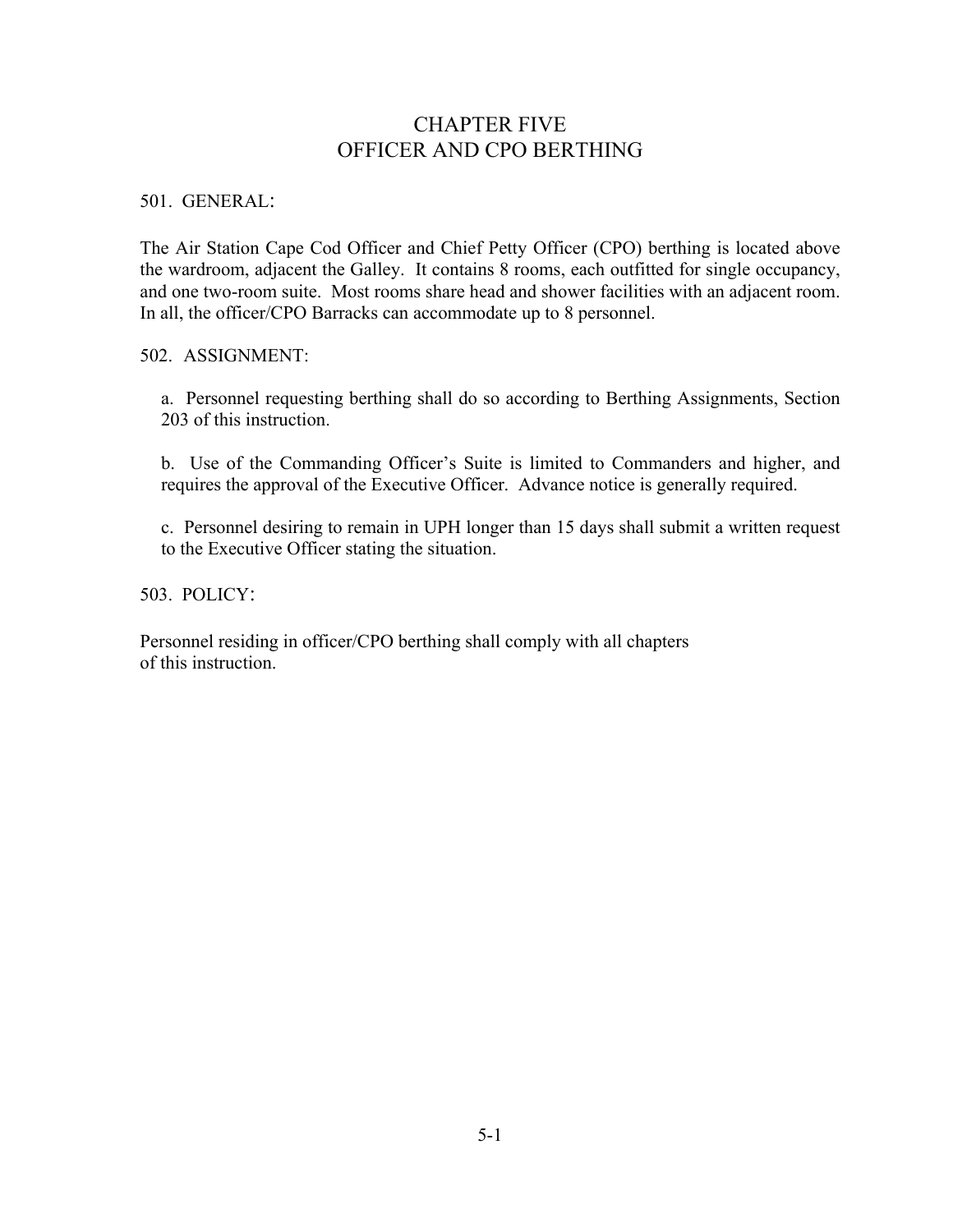# CHAPTER FIVE OFFICER AND CPO BERTHING

501. GENERAL:

The Air Station Cape Cod Officer and Chief Petty Officer (CPO) berthing is located above the wardroom, adjacent the Galley. It contains 8 rooms, each outfitted for single occupancy, and one two-room suite. Most rooms share head and shower facilities with an adjacent room. In all, the officer/CPO Barracks can accommodate up to 8 personnel.

502. ASSIGNMENT:

a. Personnel requesting berthing shall do so according to Berthing Assignments, Section 203 of this instruction.

b. Use of the Commanding Officer's Suite is limited to Commanders and higher, and requires the approval of the Executive Officer. Advance notice is generally required.

c. Personnel desiring to remain in UPH longer than 15 days shall submit a written request to the Executive Officer stating the situation.

503. POLICY:

Personnel residing in officer/CPO berthing shall comply with all chapters of this instruction.